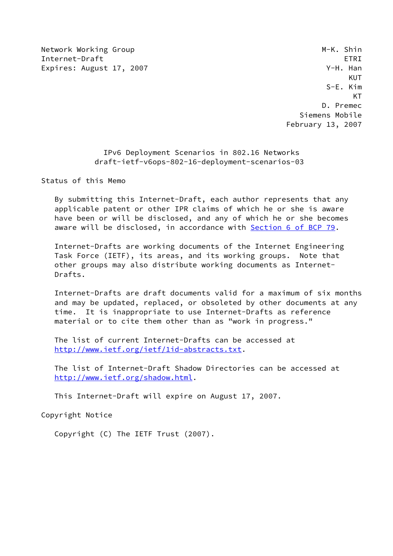Network Working Group M-K. Shin Internet-Draft ETRI Expires: August 17, 2007 Canadian Communication of the Manuscript of the Manuscript of the Manuscript of the Manuscript of the Manuscript of the Manuscript of the Manuscript of the Manuscript of the Manuscript of the Manus

**KUT KUT**  S-E. Kim KT D. Premec Siemens Mobile February 13, 2007

> IPv6 Deployment Scenarios in 802.16 Networks draft-ietf-v6ops-802-16-deployment-scenarios-03

Status of this Memo

 By submitting this Internet-Draft, each author represents that any applicable patent or other IPR claims of which he or she is aware have been or will be disclosed, and any of which he or she becomes aware will be disclosed, in accordance with Section [6 of BCP 79.](https://datatracker.ietf.org/doc/pdf/bcp79#section-6)

 Internet-Drafts are working documents of the Internet Engineering Task Force (IETF), its areas, and its working groups. Note that other groups may also distribute working documents as Internet- Drafts.

 Internet-Drafts are draft documents valid for a maximum of six months and may be updated, replaced, or obsoleted by other documents at any time. It is inappropriate to use Internet-Drafts as reference material or to cite them other than as "work in progress."

 The list of current Internet-Drafts can be accessed at <http://www.ietf.org/ietf/1id-abstracts.txt>.

 The list of Internet-Draft Shadow Directories can be accessed at <http://www.ietf.org/shadow.html>.

This Internet-Draft will expire on August 17, 2007.

Copyright Notice

Copyright (C) The IETF Trust (2007).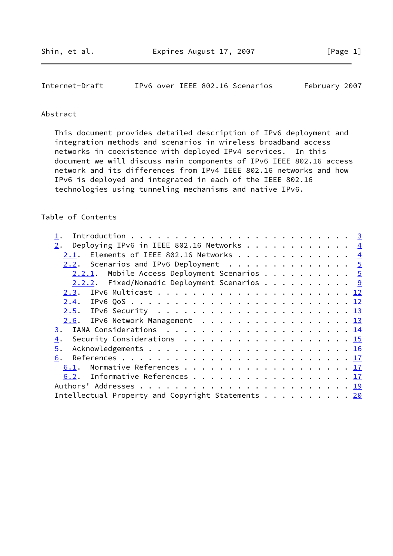Internet-Draft IPv6 over IEEE 802.16 Scenarios February 2007

# Abstract

 This document provides detailed description of IPv6 deployment and integration methods and scenarios in wireless broadband access networks in coexistence with deployed IPv4 services. In this document we will discuss main components of IPv6 IEEE 802.16 access network and its differences from IPv4 IEEE 802.16 networks and how IPv6 is deployed and integrated in each of the IEEE 802.16 technologies using tunneling mechanisms and native IPv6.

# Table of Contents

| Deploying IPv6 in IEEE 802.16 Networks $\frac{4}{5}$                                           |  |
|------------------------------------------------------------------------------------------------|--|
| 2.1. Elements of IEEE 802.16 Networks 4                                                        |  |
| 2.2. Scenarios and IPv6 Deployment 5                                                           |  |
| $2.2.1$ . Mobile Access Deployment Scenarios 5                                                 |  |
| 2.2.2. Fixed/Nomadic Deployment Scenarios 9                                                    |  |
|                                                                                                |  |
|                                                                                                |  |
|                                                                                                |  |
| 2.6. IPv6 Network Management 13                                                                |  |
|                                                                                                |  |
| Security Considerations $\ldots \ldots \ldots \ldots \ldots \ldots \ldots \frac{15}{15}$<br>4. |  |
| 5.                                                                                             |  |
| 6.                                                                                             |  |
| Normative References 17<br>6.1.                                                                |  |
| 6.2. Informative References 17                                                                 |  |
|                                                                                                |  |
| Intellectual Property and Copyright Statements 20                                              |  |
|                                                                                                |  |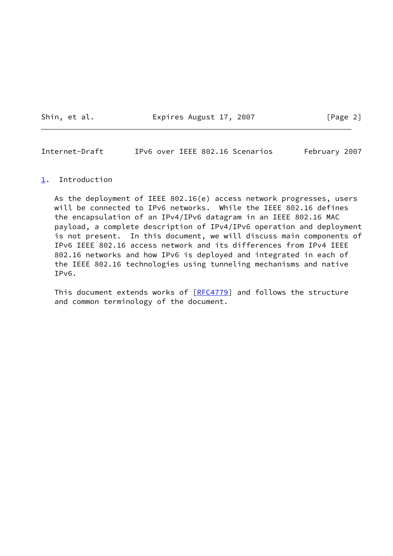Shin, et al. **Expires August 17, 2007** [Page 2]

<span id="page-2-1"></span>Internet-Draft IPv6 over IEEE 802.16 Scenarios February 2007

#### <span id="page-2-0"></span>[1](#page-2-0). Introduction

 As the deployment of IEEE 802.16(e) access network progresses, users will be connected to IPv6 networks. While the IEEE 802.16 defines the encapsulation of an IPv4/IPv6 datagram in an IEEE 802.16 MAC payload, a complete description of IPv4/IPv6 operation and deployment is not present. In this document, we will discuss main components of IPv6 IEEE 802.16 access network and its differences from IPv4 IEEE 802.16 networks and how IPv6 is deployed and integrated in each of the IEEE 802.16 technologies using tunneling mechanisms and native IPv6.

This document extends works of [\[RFC4779](https://datatracker.ietf.org/doc/pdf/rfc4779)] and follows the structure and common terminology of the document.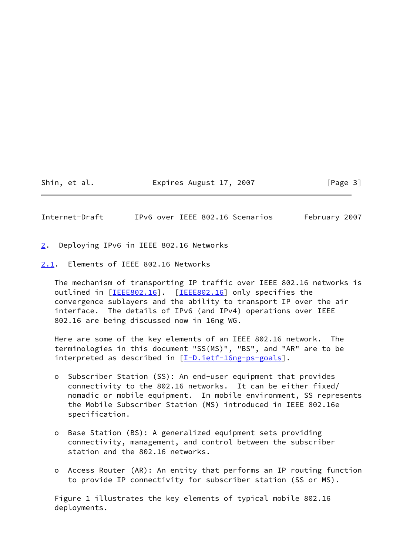#### Shin, et al. Expires August 17, 2007 [Page 3]

<span id="page-3-1"></span>Internet-Draft IPv6 over IEEE 802.16 Scenarios February 2007

- <span id="page-3-0"></span>[2](#page-3-0). Deploying IPv6 in IEEE 802.16 Networks
- <span id="page-3-2"></span>[2.1](#page-3-2). Elements of IEEE 802.16 Networks

 The mechanism of transporting IP traffic over IEEE 802.16 networks is outlined in [\[IEEE802.16\]](#page-4-3). [[IEEE802.16\]](#page-4-3) only specifies the convergence sublayers and the ability to transport IP over the air interface. The details of IPv6 (and IPv4) operations over IEEE 802.16 are being discussed now in 16ng WG.

 Here are some of the key elements of an IEEE 802.16 network. The terminologies in this document "SS(MS)", "BS", and "AR" are to be interpreted as described in [\[I-D.ietf-16ng-ps-goals](#page-18-4)].

- o Subscriber Station (SS): An end-user equipment that provides connectivity to the 802.16 networks. It can be either fixed/ nomadic or mobile equipment. In mobile environment, SS represents the Mobile Subscriber Station (MS) introduced in IEEE 802.16e specification.
- o Base Station (BS): A generalized equipment sets providing connectivity, management, and control between the subscriber station and the 802.16 networks.
- o Access Router (AR): An entity that performs an IP routing function to provide IP connectivity for subscriber station (SS or MS).

 Figure 1 illustrates the key elements of typical mobile 802.16 deployments.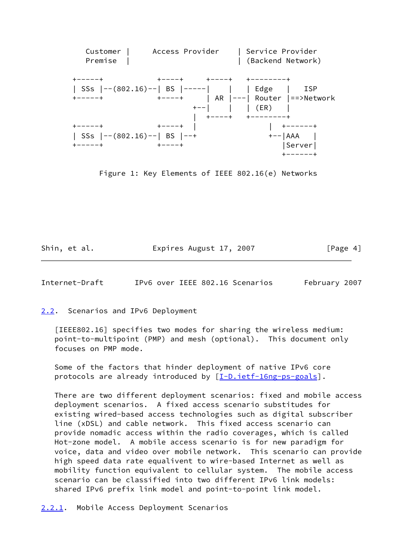

Figure 1: Key Elements of IEEE 802.16(e) Networks

Shin, et al. **Expires August 17, 2007** [Page 4]

<span id="page-4-1"></span>Internet-Draft IPv6 over IEEE 802.16 Scenarios February 2007

<span id="page-4-0"></span>[2.2](#page-4-0). Scenarios and IPv6 Deployment

<span id="page-4-3"></span> [IEEE802.16] specifies two modes for sharing the wireless medium: point-to-multipoint (PMP) and mesh (optional). This document only focuses on PMP mode.

 Some of the factors that hinder deployment of native IPv6 core protocols are already introduced by [\[I-D.ietf-16ng-ps-goals](#page-18-4)].

 There are two different deployment scenarios: fixed and mobile access deployment scenarios. A fixed access scenario substitudes for existing wired-based access technologies such as digital subscriber line (xDSL) and cable network. This fixed access scenario can provide nomadic access within the radio coverages, which is called Hot-zone model. A mobile access scenario is for new paradigm for voice, data and video over mobile network. This scenario can provide high speed data rate equalivent to wire-based Internet as well as mobility function equivalent to cellular system. The mobile access scenario can be classified into two different IPv6 link models: shared IPv6 prefix link model and point-to-point link model.

<span id="page-4-2"></span>[2.2.1](#page-4-2). Mobile Access Deployment Scenarios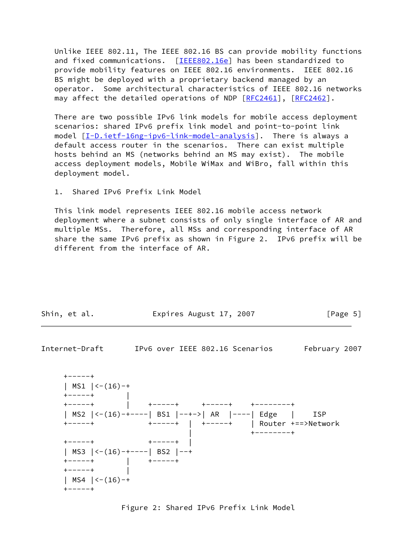Unlike IEEE 802.11, The IEEE 802.16 BS can provide mobility functions and fixed communications. [[IEEE802.16e\]](#page-19-0) has been standardized to provide mobility features on IEEE 802.16 environments. IEEE 802.16 BS might be deployed with a proprietary backend managed by an operator. Some architectural characteristics of IEEE 802.16 networks may affect the detailed operations of NDP [[RFC2461](https://datatracker.ietf.org/doc/pdf/rfc2461)], [\[RFC2462](https://datatracker.ietf.org/doc/pdf/rfc2462)].

 There are two possible IPv6 link models for mobile access deployment scenarios: shared IPv6 prefix link model and point-to-point link model [[I-D.ietf-16ng-ipv6-link-model-analysis](#page-18-5)]. There is always a default access router in the scenarios. There can exist multiple hosts behind an MS (networks behind an MS may exist). The mobile access deployment models, Mobile WiMax and WiBro, fall within this deployment model.

1. Shared IPv6 Prefix Link Model

 This link model represents IEEE 802.16 mobile access network deployment where a subnet consists of only single interface of AR and multiple MSs. Therefore, all MSs and corresponding interface of AR share the same IPv6 prefix as shown in Figure 2. IPv6 prefix will be different from the interface of AR.

| Shin, et al. | Expires August 17, 2007 | [Page 5] |
|--------------|-------------------------|----------|
|              |                         |          |

Internet-Draft IPv6 over IEEE 802.16 Scenarios February 2007



#### Figure 2: Shared IPv6 Prefix Link Model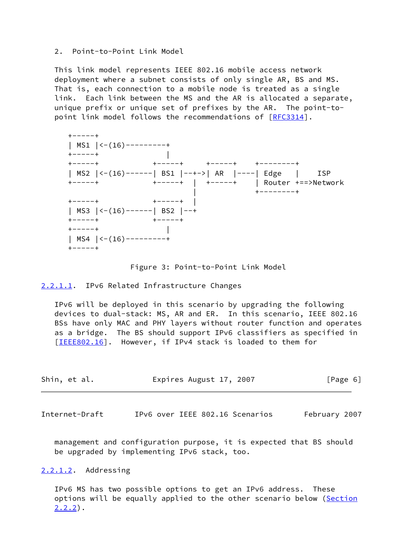### 2. Point-to-Point Link Model

 This link model represents IEEE 802.16 mobile access network deployment where a subnet consists of only single AR, BS and MS. That is, each connection to a mobile node is treated as a single link. Each link between the MS and the AR is allocated a separate, unique prefix or unique set of prefixes by the AR. The point-to point link model follows the recommendations of [\[RFC3314](https://datatracker.ietf.org/doc/pdf/rfc3314)].



Figure 3: Point-to-Point Link Model

### <span id="page-6-0"></span>[2.2.1.1](#page-6-0). IPv6 Related Infrastructure Changes

 IPv6 will be deployed in this scenario by upgrading the following devices to dual-stack: MS, AR and ER. In this scenario, IEEE 802.16 BSs have only MAC and PHY layers without router function and operates as a bridge. The BS should support IPv6 classifiers as specified in [\[IEEE802.16\]](#page-4-3). However, if IPv4 stack is loaded to them for

| Shin, et al. | Expires August 17, 2007 | [Page 6] |
|--------------|-------------------------|----------|
|--------------|-------------------------|----------|

Internet-Draft IPv6 over IEEE 802.16 Scenarios February 2007

 management and configuration purpose, it is expected that BS should be upgraded by implementing IPv6 stack, too.

### <span id="page-6-1"></span>[2.2.1.2](#page-6-1). Addressing

 IPv6 MS has two possible options to get an IPv6 address. These options will be equally applied to the other scenario below [\(Section](#page-9-0)  $2.2.2$ ).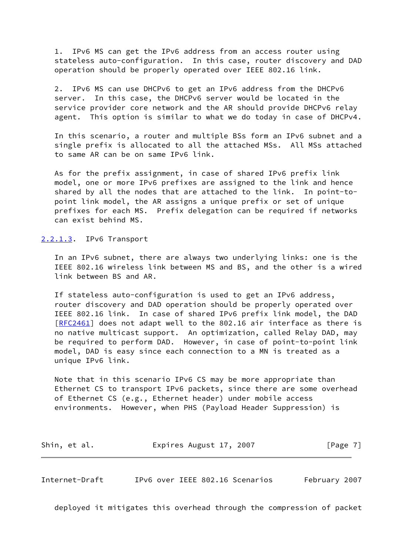1. IPv6 MS can get the IPv6 address from an access router using stateless auto-configuration. In this case, router discovery and DAD operation should be properly operated over IEEE 802.16 link.

 2. IPv6 MS can use DHCPv6 to get an IPv6 address from the DHCPv6 server. In this case, the DHCPv6 server would be located in the service provider core network and the AR should provide DHCPv6 relay agent. This option is similar to what we do today in case of DHCPv4.

 In this scenario, a router and multiple BSs form an IPv6 subnet and a single prefix is allocated to all the attached MSs. All MSs attached to same AR can be on same IPv6 link.

 As for the prefix assignment, in case of shared IPv6 prefix link model, one or more IPv6 prefixes are assigned to the link and hence shared by all the nodes that are attached to the link. In point-to point link model, the AR assigns a unique prefix or set of unique prefixes for each MS. Prefix delegation can be required if networks can exist behind MS.

<span id="page-7-0"></span>[2.2.1.3](#page-7-0). IPv6 Transport

 In an IPv6 subnet, there are always two underlying links: one is the IEEE 802.16 wireless link between MS and BS, and the other is a wired link between BS and AR.

 If stateless auto-configuration is used to get an IPv6 address, router discovery and DAD operation should be properly operated over IEEE 802.16 link. In case of shared IPv6 prefix link model, the DAD [\[RFC2461](https://datatracker.ietf.org/doc/pdf/rfc2461)] does not adapt well to the 802.16 air interface as there is no native multicast support. An optimization, called Relay DAD, may be required to perform DAD. However, in case of point-to-point link model, DAD is easy since each connection to a MN is treated as a unique IPv6 link.

 Note that in this scenario IPv6 CS may be more appropriate than Ethernet CS to transport IPv6 packets, since there are some overhead of Ethernet CS (e.g., Ethernet header) under mobile access environments. However, when PHS (Payload Header Suppression) is

Shin, et al. **Expires August 17, 2007** [Page 7]

Internet-Draft IPv6 over IEEE 802.16 Scenarios February 2007

deployed it mitigates this overhead through the compression of packet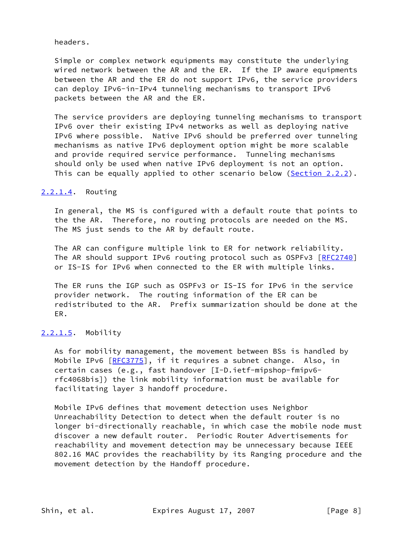headers.

 Simple or complex network equipments may constitute the underlying wired network between the AR and the ER. If the IP aware equipments between the AR and the ER do not support IPv6, the service providers can deploy IPv6-in-IPv4 tunneling mechanisms to transport IPv6 packets between the AR and the ER.

 The service providers are deploying tunneling mechanisms to transport IPv6 over their existing IPv4 networks as well as deploying native IPv6 where possible. Native IPv6 should be preferred over tunneling mechanisms as native IPv6 deployment option might be more scalable and provide required service performance. Tunneling mechanisms should only be used when native IPv6 deployment is not an option. This can be equally applied to other scenario below [\(Section 2.2.2](#page-9-0)).

# <span id="page-8-0"></span>[2.2.1.4](#page-8-0). Routing

 In general, the MS is configured with a default route that points to the the AR. Therefore, no routing protocols are needed on the MS. The MS just sends to the AR by default route.

 The AR can configure multiple link to ER for network reliability. The AR should support IPv6 routing protocol such as OSPFv3 [[RFC2740\]](https://datatracker.ietf.org/doc/pdf/rfc2740) or IS-IS for IPv6 when connected to the ER with multiple links.

 The ER runs the IGP such as OSPFv3 or IS-IS for IPv6 in the service provider network. The routing information of the ER can be redistributed to the AR. Prefix summarization should be done at the ER.

# <span id="page-8-1"></span>[2.2.1.5](#page-8-1). Mobility

 As for mobility management, the movement between BSs is handled by Mobile IPv6 [\[RFC3775](https://datatracker.ietf.org/doc/pdf/rfc3775)], if it requires a subnet change. Also, in certain cases (e.g., fast handover [I-D.ietf-mipshop-fmipv6 rfc4068bis]) the link mobility information must be available for facilitating layer 3 handoff procedure.

 Mobile IPv6 defines that movement detection uses Neighbor Unreachability Detection to detect when the default router is no longer bi-directionally reachable, in which case the mobile node must discover a new default router. Periodic Router Advertisements for reachability and movement detection may be unnecessary because IEEE 802.16 MAC provides the reachability by its Ranging procedure and the movement detection by the Handoff procedure.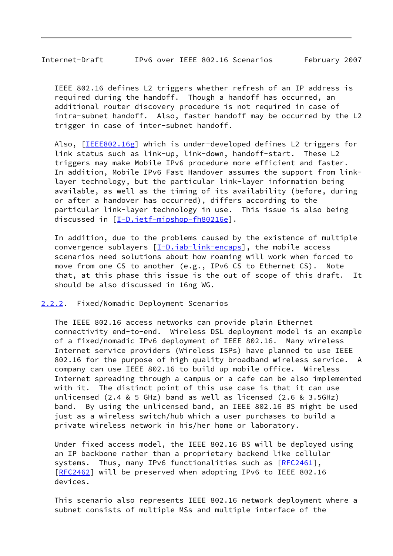<span id="page-9-1"></span> IEEE 802.16 defines L2 triggers whether refresh of an IP address is required during the handoff. Though a handoff has occurred, an additional router discovery procedure is not required in case of intra-subnet handoff. Also, faster handoff may be occurred by the L2 trigger in case of inter-subnet handoff.

Also, [[IEEE802.16g](#page-19-1)] which is under-developed defines L2 triggers for link status such as link-up, link-down, handoff-start. These L2 triggers may make Mobile IPv6 procedure more efficient and faster. In addition, Mobile IPv6 Fast Handover assumes the support from link layer technology, but the particular link-layer information being available, as well as the timing of its availability (before, during or after a handover has occurred), differs according to the particular link-layer technology in use. This issue is also being discussed in [\[I-D.ietf-mipshop-fh80216e\]](#page-19-2).

 In addition, due to the problems caused by the existence of multiple convergence sublayers  $[I-D.iab-link-encaps]$  $[I-D.iab-link-encaps]$  $[I-D.iab-link-encaps]$ , the mobile access scenarios need solutions about how roaming will work when forced to move from one CS to another (e.g., IPv6 CS to Ethernet CS). Note that, at this phase this issue is the out of scope of this draft. It should be also discussed in 16ng WG.

<span id="page-9-0"></span>[2.2.2](#page-9-0). Fixed/Nomadic Deployment Scenarios

 The IEEE 802.16 access networks can provide plain Ethernet connectivity end-to-end. Wireless DSL deployment model is an example of a fixed/nomadic IPv6 deployment of IEEE 802.16. Many wireless Internet service providers (Wireless ISPs) have planned to use IEEE 802.16 for the purpose of high quality broadband wireless service. A company can use IEEE 802.16 to build up mobile office. Wireless Internet spreading through a campus or a cafe can be also implemented with it. The distinct point of this use case is that it can use unlicensed (2.4 & 5 GHz) band as well as licensed (2.6 & 3.5GHz) band. By using the unlicensed band, an IEEE 802.16 BS might be used just as a wireless switch/hub which a user purchases to build a private wireless network in his/her home or laboratory.

 Under fixed access model, the IEEE 802.16 BS will be deployed using an IP backbone rather than a proprietary backend like cellular systems. Thus, many IPv6 functionalities such as [[RFC2461](https://datatracker.ietf.org/doc/pdf/rfc2461)]. [\[RFC2462](https://datatracker.ietf.org/doc/pdf/rfc2462)] will be preserved when adopting IPv6 to IEEE 802.16 devices.

 This scenario also represents IEEE 802.16 network deployment where a subnet consists of multiple MSs and multiple interface of the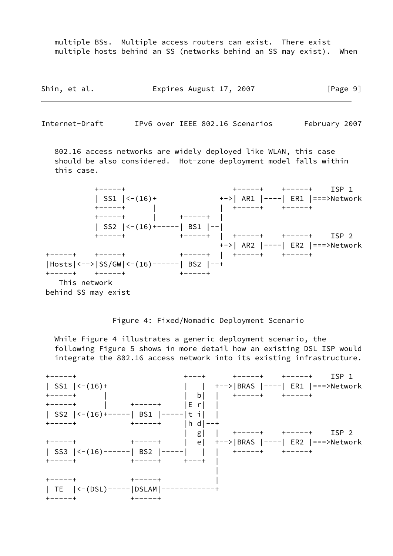multiple BSs. Multiple access routers can exist. There exist multiple hosts behind an SS (networks behind an SS may exist). When

Shin, et al. **Expires August 17, 2007** [Page 9]

Internet-Draft IPv6 over IEEE 802.16 Scenarios February 2007

 802.16 access networks are widely deployed like WLAN, this case should be also considered. Hot-zone deployment model falls within this case.

 +-----+ +-----+ +-----+ ISP 1 | SS1 |<-(16)+ +->| AR1 |----| ER1 |===>Network +-----+ | | +-----+ +-----+ +-----+ | +-----+ | | SS2 |<-(16)+-----| BS1 |--| +-----+ +-----+ | +-----+ +-----+ ISP 2 +->| AR2 |----| ER2 |===>Network +-----+ +-----+ +-----+ | +-----+ +-----+ |Hosts|<-->|SS/GW|<-(16)------| BS2 |--+ +-----+ +-----+ +-----+ This network behind SS may exist



 While Figure 4 illustrates a generic deployment scenario, the following Figure 5 shows in more detail how an existing DSL ISP would integrate the 802.16 access network into its existing infrastructure.

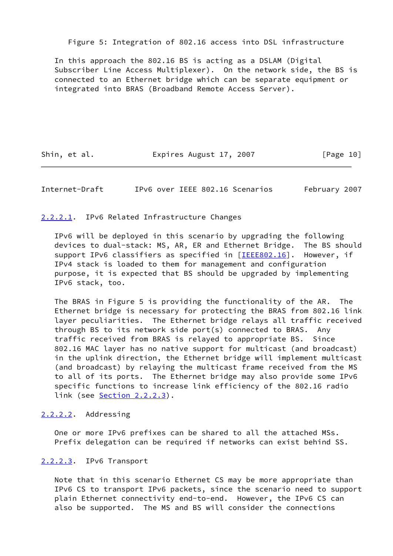Figure 5: Integration of 802.16 access into DSL infrastructure

 In this approach the 802.16 BS is acting as a DSLAM (Digital Subscriber Line Access Multiplexer). On the network side, the BS is connected to an Ethernet bridge which can be separate equipment or integrated into BRAS (Broadband Remote Access Server).

Shin, et al. **Expires August 17, 2007** [Page 10]

Internet-Draft IPv6 over IEEE 802.16 Scenarios February 2007

# <span id="page-11-0"></span>[2.2.2.1](#page-11-0). IPv6 Related Infrastructure Changes

 IPv6 will be deployed in this scenario by upgrading the following devices to dual-stack: MS, AR, ER and Ethernet Bridge. The BS should support IPv6 classifiers as specified in [\[IEEE802.16\]](#page-4-3). However, if IPv4 stack is loaded to them for management and configuration purpose, it is expected that BS should be upgraded by implementing IPv6 stack, too.

 The BRAS in Figure 5 is providing the functionality of the AR. The Ethernet bridge is necessary for protecting the BRAS from 802.16 link layer peculiarities. The Ethernet bridge relays all traffic received through BS to its network side port(s) connected to BRAS. Any traffic received from BRAS is relayed to appropriate BS. Since 802.16 MAC layer has no native support for multicast (and broadcast) in the uplink direction, the Ethernet bridge will implement multicast (and broadcast) by relaying the multicast frame received from the MS to all of its ports. The Ethernet bridge may also provide some IPv6 specific functions to increase link efficiency of the 802.16 radio link (see [Section 2.2.2.3](#page-11-1)).

# <span id="page-11-2"></span>[2.2.2.2](#page-11-2). Addressing

 One or more IPv6 prefixes can be shared to all the attached MSs. Prefix delegation can be required if networks can exist behind SS.

# <span id="page-11-1"></span>[2.2.2.3](#page-11-1). IPv6 Transport

 Note that in this scenario Ethernet CS may be more appropriate than IPv6 CS to transport IPv6 packets, since the scenario need to support plain Ethernet connectivity end-to-end. However, the IPv6 CS can also be supported. The MS and BS will consider the connections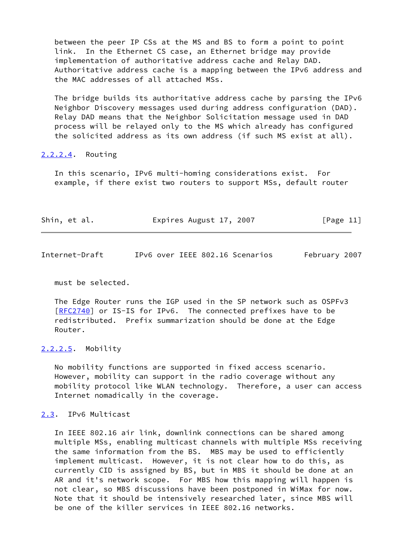between the peer IP CSs at the MS and BS to form a point to point link. In the Ethernet CS case, an Ethernet bridge may provide implementation of authoritative address cache and Relay DAD. Authoritative address cache is a mapping between the IPv6 address and the MAC addresses of all attached MSs.

 The bridge builds its authoritative address cache by parsing the IPv6 Neighbor Discovery messages used during address configuration (DAD). Relay DAD means that the Neighbor Solicitation message used in DAD process will be relayed only to the MS which already has configured the solicited address as its own address (if such MS exist at all).

#### <span id="page-12-2"></span>[2.2.2.4](#page-12-2). Routing

 In this scenario, IPv6 multi-homing considerations exist. For example, if there exist two routers to support MSs, default router

| Shin, et al. | Expires August 17, 2007 | [Page 11] |
|--------------|-------------------------|-----------|
|--------------|-------------------------|-----------|

<span id="page-12-1"></span>Internet-Draft IPv6 over IEEE 802.16 Scenarios February 2007

must be selected.

 The Edge Router runs the IGP used in the SP network such as OSPFv3 [\[RFC2740](https://datatracker.ietf.org/doc/pdf/rfc2740)] or IS-IS for IPv6. The connected prefixes have to be redistributed. Prefix summarization should be done at the Edge Router.

### <span id="page-12-3"></span>[2.2.2.5](#page-12-3). Mobility

 No mobility functions are supported in fixed access scenario. However, mobility can support in the radio coverage without any mobility protocol like WLAN technology. Therefore, a user can access Internet nomadically in the coverage.

### <span id="page-12-0"></span>[2.3](#page-12-0). IPv6 Multicast

 In IEEE 802.16 air link, downlink connections can be shared among multiple MSs, enabling multicast channels with multiple MSs receiving the same information from the BS. MBS may be used to efficiently implement multicast. However, it is not clear how to do this, as currently CID is assigned by BS, but in MBS it should be done at an AR and it's network scope. For MBS how this mapping will happen is not clear, so MBS discussions have been postponed in WiMax for now. Note that it should be intensively researched later, since MBS will be one of the killer services in IEEE 802.16 networks.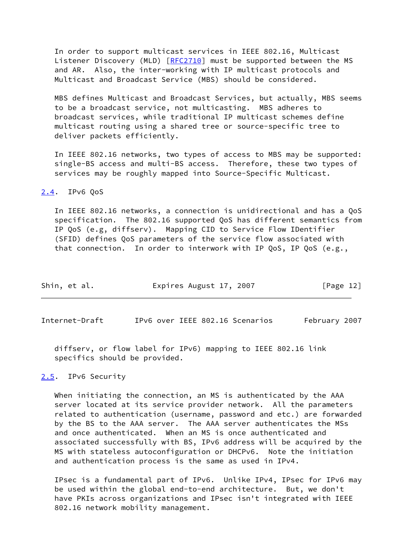In order to support multicast services in IEEE 802.16, Multicast Listener Discovery (MLD) [\[RFC2710](https://datatracker.ietf.org/doc/pdf/rfc2710)] must be supported between the MS and AR. Also, the inter-working with IP multicast protocols and Multicast and Broadcast Service (MBS) should be considered.

 MBS defines Multicast and Broadcast Services, but actually, MBS seems to be a broadcast service, not multicasting. MBS adheres to broadcast services, while traditional IP multicast schemes define multicast routing using a shared tree or source-specific tree to deliver packets efficiently.

 In IEEE 802.16 networks, two types of access to MBS may be supported: single-BS access and multi-BS access. Therefore, these two types of services may be roughly mapped into Source-Specific Multicast.

### <span id="page-13-0"></span>[2.4](#page-13-0). IPv6 QoS

 In IEEE 802.16 networks, a connection is unidirectional and has a QoS specification. The 802.16 supported QoS has different semantics from IP QoS (e.g, diffserv). Mapping CID to Service Flow IDentifier (SFID) defines QoS parameters of the service flow associated with that connection. In order to interwork with IP QoS, IP QoS (e.g.,

| Shin, et al. | Expires August 17, 2007 | [Page 12] |
|--------------|-------------------------|-----------|
|--------------|-------------------------|-----------|

<span id="page-13-2"></span>Internet-Draft IPv6 over IEEE 802.16 Scenarios February 2007

 diffserv, or flow label for IPv6) mapping to IEEE 802.16 link specifics should be provided.

#### <span id="page-13-1"></span>[2.5](#page-13-1). IPv6 Security

 When initiating the connection, an MS is authenticated by the AAA server located at its service provider network. All the parameters related to authentication (username, password and etc.) are forwarded by the BS to the AAA server. The AAA server authenticates the MSs and once authenticated. When an MS is once authenticated and associated successfully with BS, IPv6 address will be acquired by the MS with stateless autoconfiguration or DHCPv6. Note the initiation and authentication process is the same as used in IPv4.

 IPsec is a fundamental part of IPv6. Unlike IPv4, IPsec for IPv6 may be used within the global end-to-end architecture. But, we don't have PKIs across organizations and IPsec isn't integrated with IEEE 802.16 network mobility management.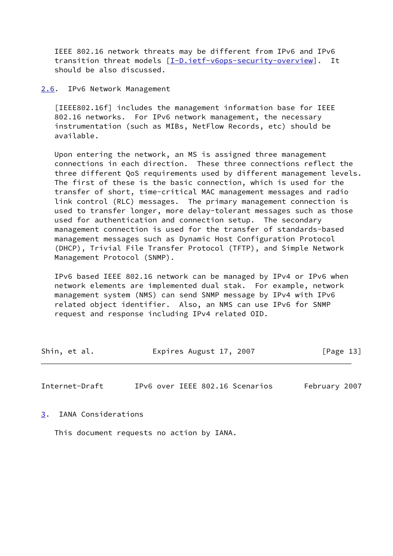IEEE 802.16 network threats may be different from IPv6 and IPv6 transition threat models [\[I-D.ietf-v6ops-security-overview](#page-19-4)]. It should be also discussed.

<span id="page-14-0"></span>[2.6](#page-14-0). IPv6 Network Management

 [IEEE802.16f] includes the management information base for IEEE 802.16 networks. For IPv6 network management, the necessary instrumentation (such as MIBs, NetFlow Records, etc) should be available.

 Upon entering the network, an MS is assigned three management connections in each direction. These three connections reflect the three different QoS requirements used by different management levels. The first of these is the basic connection, which is used for the transfer of short, time-critical MAC management messages and radio link control (RLC) messages. The primary management connection is used to transfer longer, more delay-tolerant messages such as those used for authentication and connection setup. The secondary management connection is used for the transfer of standards-based management messages such as Dynamic Host Configuration Protocol (DHCP), Trivial File Transfer Protocol (TFTP), and Simple Network Management Protocol (SNMP).

 IPv6 based IEEE 802.16 network can be managed by IPv4 or IPv6 when network elements are implemented dual stak. For example, network management system (NMS) can send SNMP message by IPv4 with IPv6 related object identifier. Also, an NMS can use IPv6 for SNMP request and response including IPv4 related OID.

| Shin, et al. | Expires August 17, 2007 | [Page 13] |
|--------------|-------------------------|-----------|
|              |                         |           |

<span id="page-14-2"></span>Internet-Draft IPv6 over IEEE 802.16 Scenarios February 2007

<span id="page-14-1"></span>[3](#page-14-1). IANA Considerations

This document requests no action by IANA.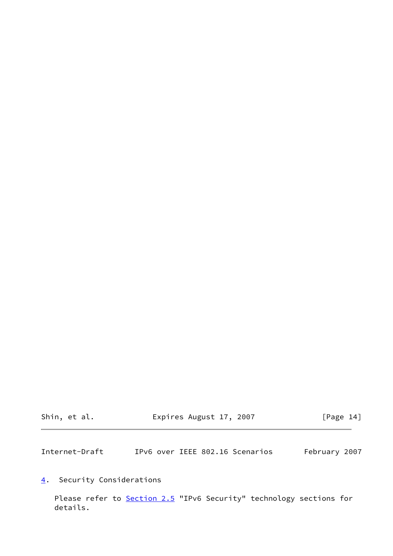| Shin, et al. | Expires August 17, 2007 |  | [Page 14] |
|--------------|-------------------------|--|-----------|
|--------------|-------------------------|--|-----------|

<span id="page-15-1"></span>Internet-Draft IPv6 over IEEE 802.16 Scenarios February 2007

<span id="page-15-0"></span>[4](#page-15-0). Security Considerations

Please refer to **Section 2.5** "IPv6 Security" technology sections for details.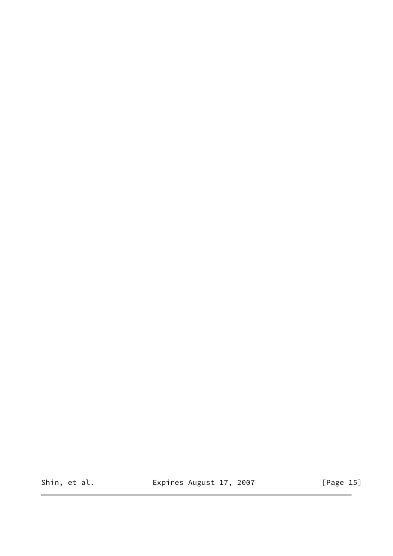Shin, et al. **Expires August 17, 2007** [Page 15]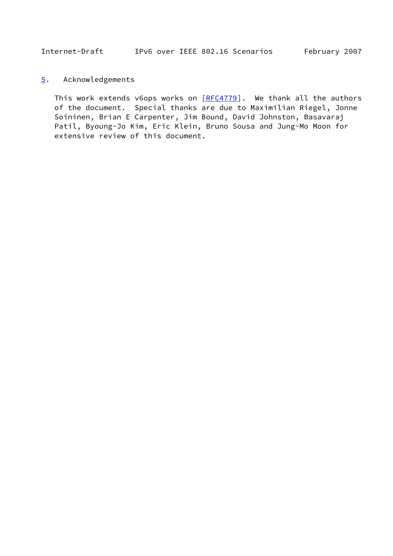<span id="page-17-1"></span><span id="page-17-0"></span>[5](#page-17-0). Acknowledgements

This work extends v6ops works on [\[RFC4779](https://datatracker.ietf.org/doc/pdf/rfc4779)]. We thank all the authors of the document. Special thanks are due to Maximilian Riegel, Jonne Soininen, Brian E Carpenter, Jim Bound, David Johnston, Basavaraj Patil, Byoung-Jo Kim, Eric Klein, Bruno Sousa and Jung-Mo Moon for extensive review of this document.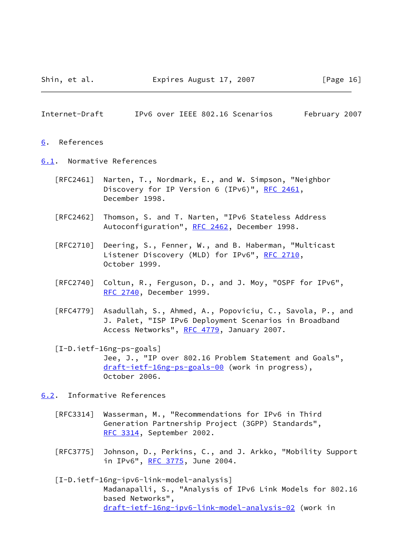# <span id="page-18-1"></span>Internet-Draft IPv6 over IEEE 802.16 Scenarios February 2007

- <span id="page-18-0"></span>[6](#page-18-0). References
- <span id="page-18-2"></span>[6.1](#page-18-2). Normative References
	- [RFC2461] Narten, T., Nordmark, E., and W. Simpson, "Neighbor Discovery for IP Version 6 (IPv6)", [RFC 2461,](https://datatracker.ietf.org/doc/pdf/rfc2461) December 1998.
	- [RFC2462] Thomson, S. and T. Narten, "IPv6 Stateless Address Autoconfiguration", [RFC 2462,](https://datatracker.ietf.org/doc/pdf/rfc2462) December 1998.
	- [RFC2710] Deering, S., Fenner, W., and B. Haberman, "Multicast Listener Discovery (MLD) for IPv6", [RFC 2710,](https://datatracker.ietf.org/doc/pdf/rfc2710) October 1999.
	- [RFC2740] Coltun, R., Ferguson, D., and J. Moy, "OSPF for IPv6", [RFC 2740,](https://datatracker.ietf.org/doc/pdf/rfc2740) December 1999.
	- [RFC4779] Asadullah, S., Ahmed, A., Popoviciu, C., Savola, P., and J. Palet, "ISP IPv6 Deployment Scenarios in Broadband Access Networks", [RFC 4779](https://datatracker.ietf.org/doc/pdf/rfc4779), January 2007.
	- [I-D.ietf-16ng-ps-goals] Jee, J., "IP over 802.16 Problem Statement and Goals", [draft-ietf-16ng-ps-goals-00](https://datatracker.ietf.org/doc/pdf/draft-ietf-16ng-ps-goals-00) (work in progress), October 2006.

<span id="page-18-4"></span><span id="page-18-3"></span>[6.2](#page-18-3). Informative References

- [RFC3314] Wasserman, M., "Recommendations for IPv6 in Third Generation Partnership Project (3GPP) Standards", [RFC 3314,](https://datatracker.ietf.org/doc/pdf/rfc3314) September 2002.
- [RFC3775] Johnson, D., Perkins, C., and J. Arkko, "Mobility Support in IPv6", [RFC 3775](https://datatracker.ietf.org/doc/pdf/rfc3775), June 2004.

<span id="page-18-5"></span> [I-D.ietf-16ng-ipv6-link-model-analysis] Madanapalli, S., "Analysis of IPv6 Link Models for 802.16 based Networks", [draft-ietf-16ng-ipv6-link-model-analysis-02](https://datatracker.ietf.org/doc/pdf/draft-ietf-16ng-ipv6-link-model-analysis-02) (work in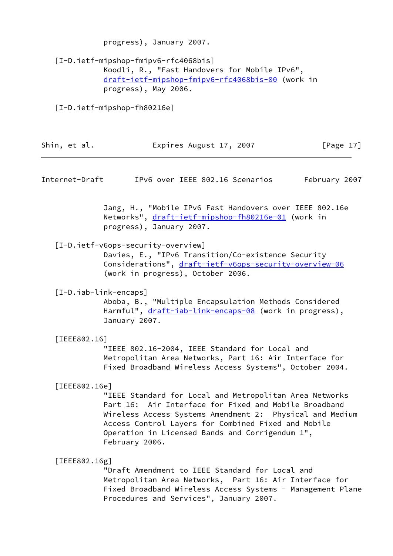[I-D.ietf-mipshop-fmipv6-rfc4068bis] Koodli, R., "Fast Handovers for Mobile IPv6", [draft-ietf-mipshop-fmipv6-rfc4068bis-00](https://datatracker.ietf.org/doc/pdf/draft-ietf-mipshop-fmipv6-rfc4068bis-00) (work in progress), May 2006.

progress), January 2007.

<span id="page-19-2"></span>[I-D.ietf-mipshop-fh80216e]

| Shin, et al. | Expires August 17, 2007 | [Page 17] |
|--------------|-------------------------|-----------|
|--------------|-------------------------|-----------|

Internet-Draft IPv6 over IEEE 802.16 Scenarios February 2007

 Jang, H., "Mobile IPv6 Fast Handovers over IEEE 802.16e Networks", [draft-ietf-mipshop-fh80216e-01](https://datatracker.ietf.org/doc/pdf/draft-ietf-mipshop-fh80216e-01)</u> (work in progress), January 2007.

<span id="page-19-4"></span>[I-D.ietf-v6ops-security-overview]

 Davies, E., "IPv6 Transition/Co-existence Security Considerations", [draft-ietf-v6ops-security-overview-06](https://datatracker.ietf.org/doc/pdf/draft-ietf-v6ops-security-overview-06) (work in progress), October 2006.

### <span id="page-19-3"></span>[I-D.iab-link-encaps]

 Aboba, B., "Multiple Encapsulation Methods Considered Harmful", [draft-iab-link-encaps-08](https://datatracker.ietf.org/doc/pdf/draft-iab-link-encaps-08) (work in progress), January 2007.

# [IEEE802.16]

 "IEEE 802.16-2004, IEEE Standard for Local and Metropolitan Area Networks, Part 16: Air Interface for Fixed Broadband Wireless Access Systems", October 2004.

### <span id="page-19-0"></span>[IEEE802.16e]

 "IEEE Standard for Local and Metropolitan Area Networks Part 16: Air Interface for Fixed and Mobile Broadband Wireless Access Systems Amendment 2: Physical and Medium Access Control Layers for Combined Fixed and Mobile Operation in Licensed Bands and Corrigendum 1", February 2006.

# <span id="page-19-1"></span>[IEEE802.16g]

 "Draft Amendment to IEEE Standard for Local and Metropolitan Area Networks, Part 16: Air Interface for Fixed Broadband Wireless Access Systems - Management Plane Procedures and Services", January 2007.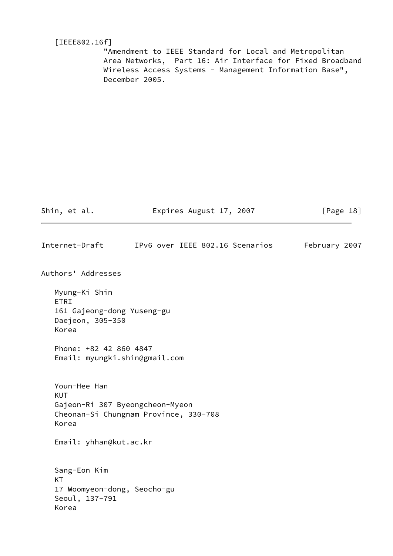# [IEEE802.16f]

 "Amendment to IEEE Standard for Local and Metropolitan Area Networks, Part 16: Air Interface for Fixed Broadband Wireless Access Systems - Management Information Base", December 2005.

<span id="page-20-0"></span>

| Shin, et al.                                              | Expires August 17, 2007                                                               | [Page 18]     |
|-----------------------------------------------------------|---------------------------------------------------------------------------------------|---------------|
|                                                           | Internet-Draft      IPv6 over IEEE 802.16 Scenarios                                   | February 2007 |
| Authors' Addresses                                        |                                                                                       |               |
| Myung-Ki Shin<br><b>ETRI</b><br>Daejeon, 305-350<br>Korea | 161 Gajeong-dong Yuseng-gu<br>Phone: +82 42 860 4847<br>Email: myungki.shin@gmail.com |               |
| Youn-Hee Han<br>KUT<br>Korea                              | Gajeon-Ri 307 Byeongcheon-Myeon<br>Cheonan-Si Chungnam Province, 330-708              |               |
|                                                           | Email: yhhan@kut.ac.kr                                                                |               |
| Sang-Eon Kim<br><b>KT</b><br>Seoul, 137-791<br>Korea      | 17 Woomyeon-dong, Seocho-gu                                                           |               |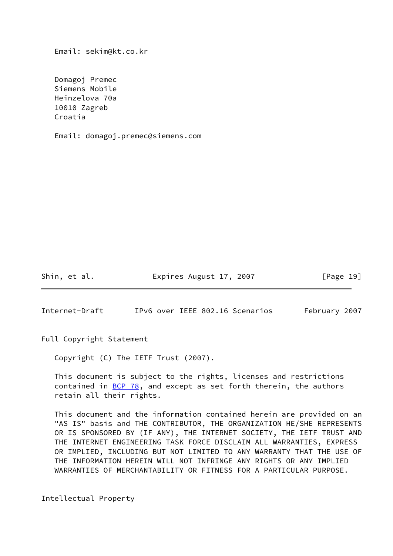Email: sekim@kt.co.kr

 Domagoj Premec Siemens Mobile Heinzelova 70a 10010 Zagreb Croatia

Email: domagoj.premec@siemens.com

Shin, et al. **Expires August 17, 2007** [Page 19]

<span id="page-21-0"></span>Internet-Draft IPv6 over IEEE 802.16 Scenarios February 2007

Full Copyright Statement

Copyright (C) The IETF Trust (2007).

 This document is subject to the rights, licenses and restrictions contained in  $\underline{BCP}$  78, and except as set forth therein, the authors retain all their rights.

 This document and the information contained herein are provided on an "AS IS" basis and THE CONTRIBUTOR, THE ORGANIZATION HE/SHE REPRESENTS OR IS SPONSORED BY (IF ANY), THE INTERNET SOCIETY, THE IETF TRUST AND THE INTERNET ENGINEERING TASK FORCE DISCLAIM ALL WARRANTIES, EXPRESS OR IMPLIED, INCLUDING BUT NOT LIMITED TO ANY WARRANTY THAT THE USE OF THE INFORMATION HEREIN WILL NOT INFRINGE ANY RIGHTS OR ANY IMPLIED WARRANTIES OF MERCHANTABILITY OR FITNESS FOR A PARTICULAR PURPOSE.

Intellectual Property